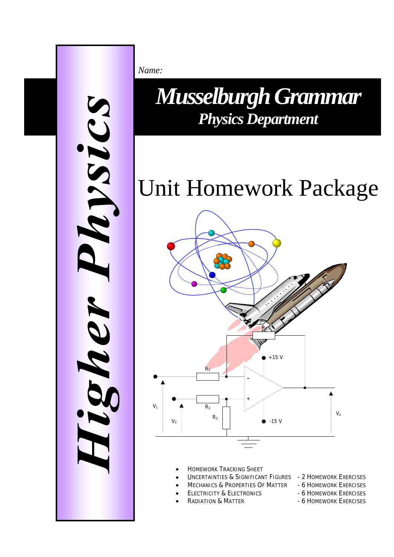

*Name:*

**Physics Department** *Musselburgh Grammar* 

# Unit Homework Package



- HOMEWORK TRACKING SHEET
- UNCERTAINTIES & SIGNIFICANT FIGURES 2 HOMEWORK EXERCISES
- MECHANICS & PROPERTIES OF MATTER 6 HOMEWORK EXERCISES
	- ELECTRICITY & ELECTRONICS 6 HOMEWORK EXERCISES
	- RADIATION & MATTER 6 HOMEWORK EXERCISES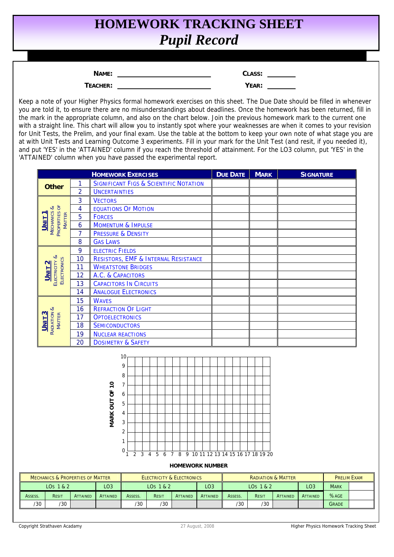## **HOMEWORK TRACKING SHEET**  *Pupil Record*

| JJ. |
|-----|
|     |

**TEACHER:** 

| ìLASS: |  |
|--------|--|
| YEAR:  |  |

Keep a note of your Higher Physics formal homework exercises on this sheet. The Due Date should be filled in whenever you are told it, to ensure there are no misunderstandings about deadlines. Once the homework has been returned, fill in the mark in the appropriate column, and also on the chart below. Join the previous homework mark to the current one with a straight line. This chart will allow you to instantly spot where your weaknesses are when it comes to your revision for Unit Tests, the Prelim, and your final exam. Use the table at the bottom to keep your own note of what stage you are at with Unit Tests and Learning Outcome 3 experiments. Fill in your mark for the Unit Test (and resit, if you needed it), and put 'YES' in the 'ATTAINED' column if you reach the threshold of attainment. For the LO3 column, put 'YES' in the 'ATTAINED' column when you have passed the experimental report.

|                                                          |                | <b>HOMEWORK EXERCISES</b>     |                                                                                                                                   |                                      |                                        |  |                 | <b>DUE DATE</b> |           | <b>MARK</b> |                               | <b>SIGNATURE</b> |                    |
|----------------------------------------------------------|----------------|-------------------------------|-----------------------------------------------------------------------------------------------------------------------------------|--------------------------------------|----------------------------------------|--|-----------------|-----------------|-----------|-------------|-------------------------------|------------------|--------------------|
| <b>Other</b>                                             | 1              |                               | <b>SIGNIFICANT FIGS &amp; SCIENTIFIC NOTATION</b>                                                                                 |                                      |                                        |  |                 |                 |           |             |                               |                  |                    |
|                                                          | $\overline{2}$ | <b>UNCERTAINTIES</b>          |                                                                                                                                   |                                      |                                        |  |                 |                 |           |             |                               |                  |                    |
|                                                          | 3              | <b>VECTORS</b>                |                                                                                                                                   |                                      |                                        |  |                 |                 |           |             |                               |                  |                    |
|                                                          | $\overline{4}$ |                               | <b>EQUATIONS OF MOTION</b>                                                                                                        |                                      |                                        |  |                 |                 |           |             |                               |                  |                    |
|                                                          | 5              | <b>FORCES</b>                 |                                                                                                                                   |                                      |                                        |  |                 |                 |           |             |                               |                  |                    |
| MECHANICS &<br>PROPERTIES OF<br>MATTER<br>UNIT 1         | 6              | <b>MOMENTUM &amp; IMPULSE</b> |                                                                                                                                   |                                      |                                        |  |                 |                 |           |             |                               |                  |                    |
|                                                          | 7              | PRESSURE & DENSITY            |                                                                                                                                   |                                      |                                        |  |                 |                 |           |             |                               |                  |                    |
|                                                          | 8              | <b>GAS LAWS</b>               |                                                                                                                                   |                                      |                                        |  |                 |                 |           |             |                               |                  |                    |
|                                                          | 9              | <b>ELECTRIC FIELDS</b>        |                                                                                                                                   |                                      |                                        |  |                 |                 |           |             |                               |                  |                    |
|                                                          | 10             |                               | <b>RESISTORS, EMF &amp; INTERNAL RESISTANCE</b>                                                                                   |                                      |                                        |  |                 |                 |           |             |                               |                  |                    |
|                                                          | 11             |                               | <b>WHEATSTONE BRIDGES</b>                                                                                                         |                                      |                                        |  |                 |                 |           |             |                               |                  |                    |
| ELECTRICITY &<br><b>ELECTRONICS</b><br>UNIT <sub>2</sub> | 12             | A.C. & CAPACITORS             |                                                                                                                                   |                                      |                                        |  |                 |                 |           |             |                               |                  |                    |
|                                                          | 13             |                               | <b>CAPACITORS IN CIRCUITS</b>                                                                                                     |                                      |                                        |  |                 |                 |           |             |                               |                  |                    |
|                                                          | 14             | <b>ANALOGUE ELECTRONICS</b>   |                                                                                                                                   |                                      |                                        |  |                 |                 |           |             |                               |                  |                    |
|                                                          | 15             | <b>WAVES</b>                  |                                                                                                                                   |                                      |                                        |  |                 |                 |           |             |                               |                  |                    |
|                                                          | 16             |                               | <b>REFRACTION OF LIGHT</b>                                                                                                        |                                      |                                        |  |                 |                 |           |             |                               |                  |                    |
| $UnIT3$<br><b>MATTER</b>                                 | 17             | <b>OPTOELECTRONICS</b>        |                                                                                                                                   |                                      |                                        |  |                 |                 |           |             |                               |                  |                    |
| RADIATION &                                              | 18             | <b>SEMICONDUCTORS</b>         |                                                                                                                                   |                                      |                                        |  |                 |                 |           |             |                               |                  |                    |
|                                                          | 19             | <b>NUCLEAR REACTIONS</b>      |                                                                                                                                   |                                      |                                        |  |                 |                 |           |             |                               |                  |                    |
|                                                          | 20             |                               | <b>DOSIMETRY &amp; SAFETY</b>                                                                                                     |                                      |                                        |  |                 |                 |           |             |                               |                  |                    |
|                                                          |                | <b>VIARK OUT OF 10</b>        | 10 <sub>1</sub><br>9<br>8<br>$\overline{7}$<br>6<br>$\mathbf 5$<br>4<br>3<br>2<br>1<br>0<br>$\overline{3}$<br>$\overline{2}$<br>1 | 56<br>$\overline{4}$                 | 7 8 9 10 11 12 13 14 15 16 17 18 19 20 |  |                 |                 |           |             |                               |                  |                    |
|                                                          |                |                               |                                                                                                                                   |                                      | <b>HOMEWORK NUMBER</b>                 |  |                 |                 |           |             |                               |                  |                    |
| <b>MECHANICS &amp; PROPERTIES OF MATTER</b>              |                |                               |                                                                                                                                   | <b>ELECTRICITY &amp; ELECTRONICS</b> |                                        |  |                 |                 |           |             | <b>RADIATION &amp; MATTER</b> |                  | <b>PRELIM EXAM</b> |
| LOS 1 & 2                                                |                | LO <sub>3</sub>               |                                                                                                                                   | LO <sub>S</sub> 1 & 2                |                                        |  | LO <sub>3</sub> |                 | LOS 1 & 2 |             |                               | LO <sub>3</sub>  | <b>MARK</b>        |

|         | <b>MECHANICS &amp; PROPERTIES OF MATTER</b><br><b>ELECTRICITY &amp; ELECTRONICS</b> |                 |                 |         | <b>RADIATION &amp; MATTER</b> |                 |                  |         |       |                 | <b>PRELIM EXAM</b> |              |  |
|---------|-------------------------------------------------------------------------------------|-----------------|-----------------|---------|-------------------------------|-----------------|------------------|---------|-------|-----------------|--------------------|--------------|--|
|         | LOS 1 & 2                                                                           |                 | LO3             |         | LO <sub>S</sub> 1 & 2         |                 | LO3<br>LOS 1 & 2 |         |       | LO <sub>3</sub> | <b>MARK</b>        |              |  |
| ASSESS. | <b>RESIT</b>                                                                        | <b>ATTAINED</b> | <b>ATTAINED</b> | Assess. | RESIT                         | <b>ATTAINED</b> | <b>ATTAINED</b>  | ASSESS. | RESIT | <b>ATTAINED</b> | <b>ATTAINED</b>    | %AGE         |  |
| '30'    | /30                                                                                 |                 |                 | /30     | /30                           |                 |                  | /30     | /30   |                 |                    | <b>GRADE</b> |  |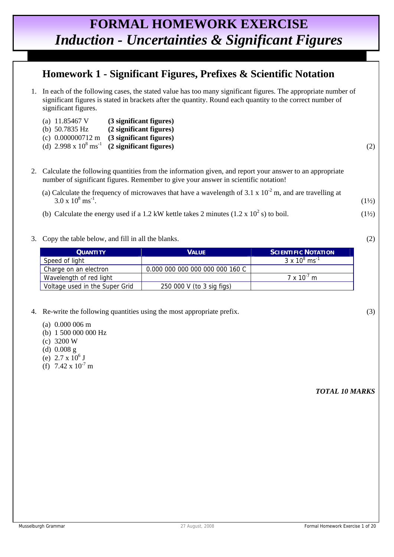### **FORMAL HOMEWORK EXERCISE**  *Induction - Uncertainties & Significant Figures*

#### **Homework 1 - Significant Figures, Prefixes & Scientific Notation**

 1. In each of the following cases, the stated value has too many significant figures. The appropriate number of significant figures is stated in brackets after the quantity. Round each quantity to the correct number of significant figures.

| (a) $11.85467$ V | (3 significant figures)                                         |  |
|------------------|-----------------------------------------------------------------|--|
| (b) $50.7835$ Hz | (2 significant figures)                                         |  |
|                  | (c) $0.000000712 \text{ m}$ (3 significant figures)             |  |
|                  | (d) $2.998 \times 10^8 \text{ ms}^{-1}$ (2 significant figures) |  |

- 2. Calculate the following quantities from the information given, and report your answer to an appropriate number of significant figures. Remember to give your answer in scientific notation!
	- (a) Calculate the frequency of microwaves that have a wavelength of 3.1 x  $10^{-2}$  m, and are travelling at  $3.0 \times 10^8 \text{ ms}^{-1}$ .  $\text{ms}^{-1}$ . (1½)
- (b) Calculate the energy used if a 1.2 kW kettle takes 2 minutes  $(1.2 \times 10^2 \text{ s})$  to boil.  $(1\frac{1}{2})$ 
	- 3. Copy the table below, and fill in all the blanks. (2)

| <b>QUANTITY</b>                | <b>VALUE</b>                    | <b>SCIENTIFIC NOTATION</b>      |
|--------------------------------|---------------------------------|---------------------------------|
| Speed of light                 |                                 | $3 \times 10^8 \text{ ms}^{-1}$ |
| Charge on an electron          | 0.000 000 000 000 000 000 160 C |                                 |
| Wavelength of red light        |                                 | $7 \times 10^{-7}$ m            |
| Voltage used in the Super Grid | 250 000 V (to 3 sig figs)       |                                 |

- 4. Re-write the following quantities using the most appropriate prefix. (3)
	- (a) 0.000 006 m
	- (b) 1 500 000 000 Hz
	- (c) 3200 W
	- (d) 0.008 g
- (e)  $2.7 \times 10^6$  J
	- (f)  $7.42 \times 10^{-7}$  m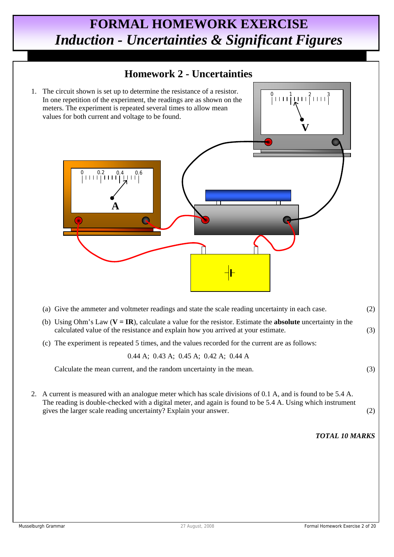## **FORMAL HOMEWORK EXERCISE**  *Induction - Uncertainties & Significant Figures*

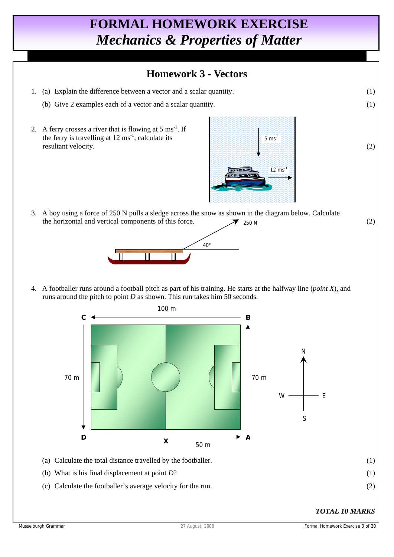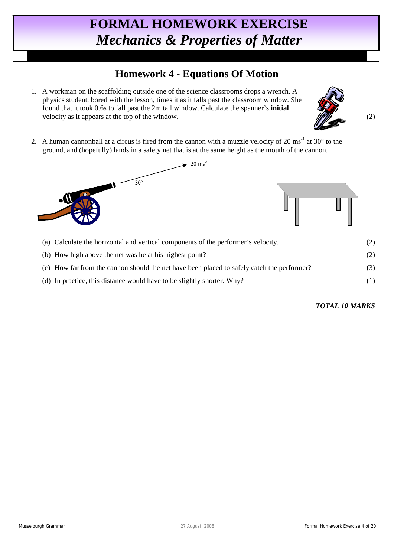#### **Homework 4 - Equations Of Motion**

 1. A workman on the scaffolding outside one of the science classrooms drops a wrench. A physics student, bored with the lesson, times it as it falls past the classroom window. She found that it took 0.6s to fall past the 2m tall window. Calculate the spanner's **initial** velocity as it appears at the top of the window.  $\sqrt{2}$  (2)



2. A human cannonball at a circus is fired from the cannon with a muzzle velocity of  $20 \text{ ms}^{-1}$  at  $30^{\circ}$  to the ground, and (hopefully) lands in a safety net that is at the same height as the mouth of the cannon.



- (c) How far from the cannon should the net have been placed to safely catch the performer? (3)
- (d) In practice, this distance would have to be slightly shorter. Why? (1)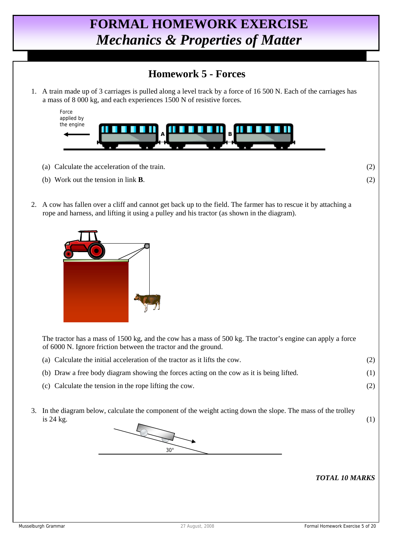#### **Homework 5 - Forces**

 1. A train made up of 3 carriages is pulled along a level track by a force of 16 500 N. Each of the carriages has a mass of 8 000 kg, and each experiences 1500 N of resistive forces.



- (a) Calculate the acceleration of the train. (2)
- (b) Work out the tension in link **B**. (2)
- 2. A cow has fallen over a cliff and cannot get back up to the field. The farmer has to rescue it by attaching a rope and harness, and lifting it using a pulley and his tractor (as shown in the diagram).



 The tractor has a mass of 1500 kg, and the cow has a mass of 500 kg. The tractor's engine can apply a force of 6000 N. Ignore friction between the tractor and the ground.

- (a) Calculate the initial acceleration of the tractor as it lifts the cow. (2)
- (b) Draw a free body diagram showing the forces acting on the cow as it is being lifted. (1)
- (c) Calculate the tension in the rope lifting the cow. (2)
- 3. In the diagram below, calculate the component of the weight acting down the slope. The mass of the trolley  $is 24 kg.$  (1)

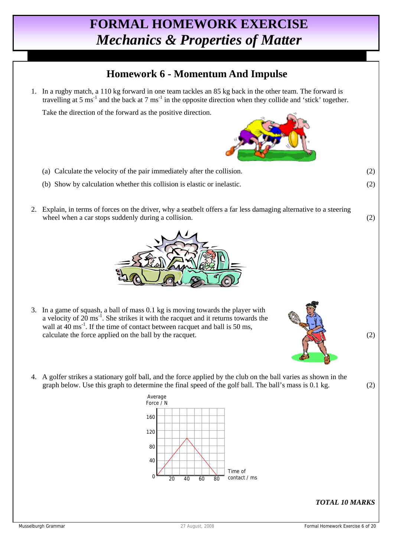#### **Homework 6 - Momentum And Impulse**

 1. In a rugby match, a 110 kg forward in one team tackles an 85 kg back in the other team. The forward is travelling at 5 ms<sup>-1</sup> and the back at 7 ms<sup>-1</sup> in the opposite direction when they collide and 'stick' together.

Take the direction of the forward as the positive direction.

- (a) Calculate the velocity of the pair immediately after the collision. (2)
- (b) Show by calculation whether this collision is elastic or inelastic. (2)
- 2. Explain, in terms of forces on the driver, why a seatbelt offers a far less damaging alternative to a steering wheel when a car stops suddenly during a collision. (2)



- 3. In a game of squash, a ball of mass 0.1 kg is moving towards the player with a velocity of 20 ms-1. She strikes it with the racquet and it returns towards the wall at  $40 \text{ ms}^{-1}$ . If the time of contact between racquet and ball is 50 ms, calculate the force applied on the ball by the racquet.  $(2)$
- 4. A golfer strikes a stationary golf ball, and the force applied by the club on the ball varies as shown in the graph below. Use this graph to determine the final speed of the golf ball. The ball's mass is 0.1 kg. (2)

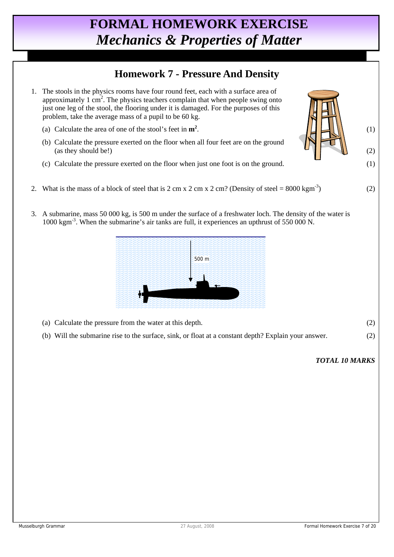#### **Homework 7 - Pressure And Density**

- 1. The stools in the physics rooms have four round feet, each with a surface area of approximately  $1 \text{ cm}^2$ . The physics teachers complain that when people swing onto just one leg of the stool, the flooring under it is damaged. For the purposes of this problem, take the average mass of a pupil to be 60 kg.
	- (a) Calculate the area of one of the stool's feet in **m2**  $\blacksquare$  (1)
	- (b) Calculate the pressure exerted on the floor when all four feet are on the ground (as they should be!) (2)
	- (c) Calculate the pressure exerted on the floor when just one foot is on the ground. (1)
- 2. What is the mass of a block of steel that is 2 cm x 2 cm x 2 cm? (Density of steel =  $8000 \text{ kgm}^{-3}$ ) (2)
- 3. A submarine, mass 50 000 kg, is 500 m under the surface of a freshwater loch. The density of the water is 1000 kgm-3. When the submarine's air tanks are full, it experiences an upthrust of 550 000 N.



- (a) Calculate the pressure from the water at this depth. (2)
- (b) Will the submarine rise to the surface, sink, or float at a constant depth? Explain your answer. (2)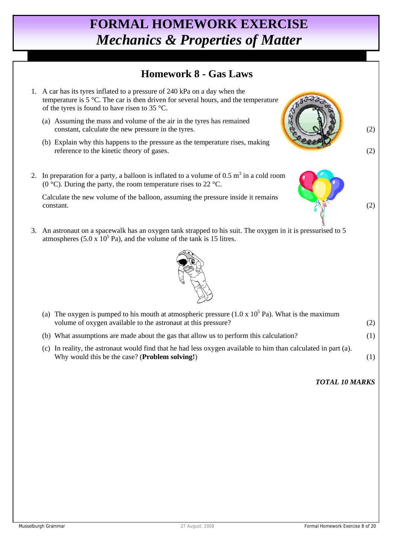#### **Homework 8 - Gas Laws**

- 1. A car has its tyres inflated to a pressure of 240 kPa on a day when the temperature is 5 °C. The car is then driven for several hours, and the temperature of the tyres is found to have risen to 35 °C.
	- (a) Assuming the mass and volume of the air in the tyres has remained constant, calculate the new pressure in the tyres. (2)
	- (b) Explain why this happens to the pressure as the temperature rises, making reference to the kinetic theory of gases. (2)
- 2. In preparation for a party, a balloon is inflated to a volume of  $0.5 \text{ m}^3$  in a cold room (0 °C). During the party, the room temperature rises to 22 °C.

 Calculate the new volume of the balloon, assuming the pressure inside it remains  $\cos \theta$  (2) constant. (2)

 3. An astronaut on a spacewalk has an oxygen tank strapped to his suit. The oxygen in it is pressurised to 5 atmospheres  $(5.0 \times 10^5 \text{ Pa})$ , and the volume of the tank is 15 litres.



| (a) The oxygen is pumped to his mouth at atmospheric pressure $(1.0 \times 10^5 \text{ Pa})$ . What is the maximum<br>volume of oxygen available to the astronaut at this pressure? |     |
|-------------------------------------------------------------------------------------------------------------------------------------------------------------------------------------|-----|
| (b) What assumptions are made about the gas that allow us to perform this calculation?                                                                                              | (1) |
| (c) In reality, the astronaut would find that he had less oxygen available to him than calculated in part (a).<br>Why would this be the case? ( <b>Problem solving!</b> )           |     |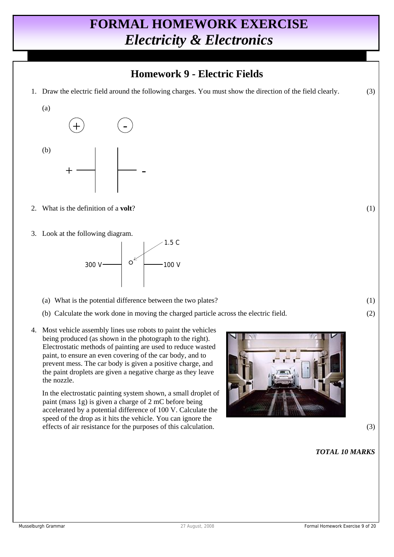### **Homework 9 - Electric Fields**

1. Draw the electric field around the following charges. You must show the direction of the field clearly. (3)



- 2. What is the definition of a **volt**? (1)
- 3. Look at the following diagram.



- (a) What is the potential difference between the two plates? (1)
- (b) Calculate the work done in moving the charged particle across the electric field. (2)
- 4. Most vehicle assembly lines use robots to paint the vehicles being produced (as shown in the photograph to the right). Electrostatic methods of painting are used to reduce wasted paint, to ensure an even covering of the car body, and to prevent mess. The car body is given a positive charge, and the paint droplets are given a negative charge as they leave the nozzle.

 In the electrostatic painting system shown, a small droplet of paint (mass 1g) is given a charge of 2 mC before being accelerated by a potential difference of 100 V. Calculate the speed of the drop as it hits the vehicle. You can ignore the effects of air resistance for the purposes of this calculation. (3)

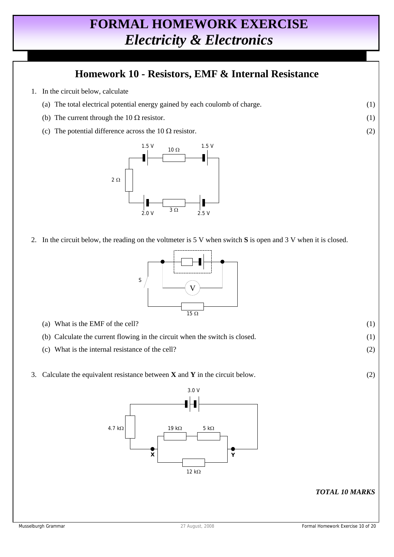#### **Homework 10 - Resistors, EMF & Internal Resistance**

- 1. In the circuit below, calculate
	- (a) The total electrical potential energy gained by each coulomb of charge. (1)
	- (b) The current through the  $10 \Omega$  resistor. (1)
	- (c) The potential difference across the  $10 \Omega$  resistor. (2)



2. In the circuit below, the reading on the voltmeter is 5 V when switch **S** is open and 3 V when it is closed.



- (a) What is the EMF of the cell?  $(1)$
- (b) Calculate the current flowing in the circuit when the switch is closed. (1)
- (c) What is the internal resistance of the cell? (2)
- 3. Calculate the equivalent resistance between **X** and **Y** in the circuit below. (2)

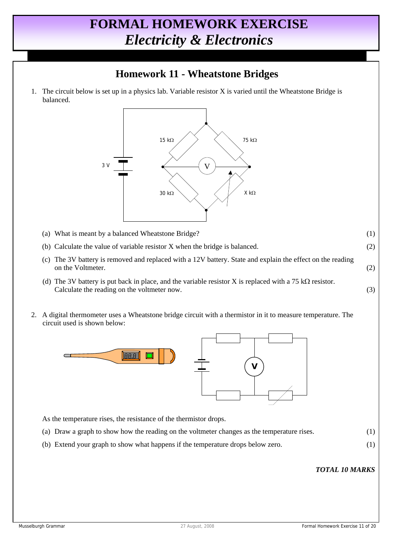### **Homework 11 - Wheatstone Bridges**

 1. The circuit below is set up in a physics lab. Variable resistor X is varied until the Wheatstone Bridge is balanced.



- (a) What is meant by a balanced Wheatstone Bridge? (1)
- (b) Calculate the value of variable resistor X when the bridge is balanced. (2)
- (c) The 3V battery is removed and replaced with a 12V battery. State and explain the effect on the reading on the Voltmeter. (2)
- (d) The 3V battery is put back in place, and the variable resistor X is replaced with a 75 k $\Omega$  resistor. Calculate the reading on the voltmeter now. (3)
- 2. A digital thermometer uses a Wheatstone bridge circuit with a thermistor in it to measure temperature. The circuit used is shown below:



As the temperature rises, the resistance of the thermistor drops.

- (a) Draw a graph to show how the reading on the voltmeter changes as the temperature rises. (1)
- (b) Extend your graph to show what happens if the temperature drops below zero. (1)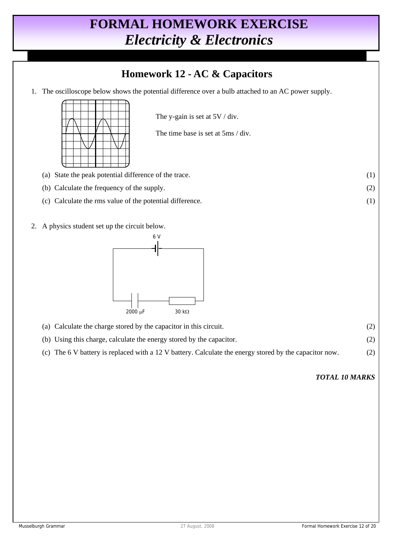### **Homework 12 - AC & Capacitors**

1. The oscilloscope below shows the potential difference over a bulb attached to an AC power supply.



The y-gain is set at 5V / div.

The time base is set at 5ms / div.

- (a) State the peak potential difference of the trace. (1)
- (b) Calculate the frequency of the supply. (2)
- (c) Calculate the rms value of the potential difference. (1)
- 2. A physics student set up the circuit below.



- (a) Calculate the charge stored by the capacitor in this circuit. (2) (b) Using this charge, calculate the energy stored by the capacitor. (2)
	- (c) The 6 V battery is replaced with a 12 V battery. Calculate the energy stored by the capacitor now. (2)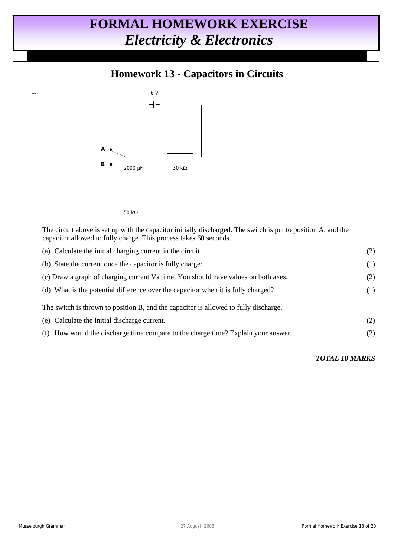### **Homework 13 - Capacitors in Circuits**



 The circuit above is set up with the capacitor initially discharged. The switch is put to position A, and the capacitor allowed to fully charge. This process takes 60 seconds.

| (a) Calculate the initial charging current in the circuit.                           | (2) |
|--------------------------------------------------------------------------------------|-----|
| (b) State the current once the capacitor is fully charged.                           | (1) |
| (c) Draw a graph of charging current Vs time. You should have values on both axes.   | (2) |
| (d) What is the potential difference over the capacitor when it is fully charged?    | (1) |
| The switch is thrown to position B, and the capacitor is allowed to fully discharge. |     |
| (e) Calculate the initial discharge current.                                         | (2) |
| How would the discharge time compare to the charge time? Explain your answer.<br>(t) | (2) |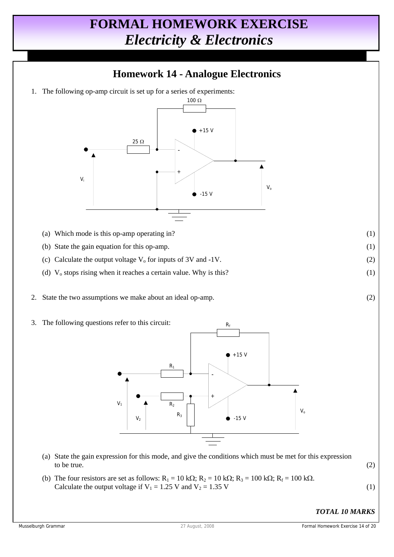#### **Homework 14 - Analogue Electronics**

1. The following op-amp circuit is set up for a series of experiments:



- (a) Which mode is this op-amp operating in? (1)
- (b) State the gain equation for this op-amp. (1)
- (c) Calculate the output voltage  $V_0$  for inputs of 3V and -1V. (2)
- (d)  $V_0$  stops rising when it reaches a certain value. Why is this? (1)
- 2. State the two assumptions we make about an ideal op-amp. (2)
- 3. The following questions refer to this circuit:



- (a) State the gain expression for this mode, and give the conditions which must be met for this expression to be true.  $(2)$
- (b) The four resistors are set as follows:  $R_1 = 10 \text{ k}\Omega$ ;  $R_2 = 10 \text{ k}\Omega$ ;  $R_3 = 100 \text{ k}\Omega$ ;  $R_f = 100 \text{ k}\Omega$ . Calculate the output voltage if  $V_1 = 1.25$  V and  $V_2 = 1.35$  V (1)

$$
\mathcal{L}^{\mathcal{L}}(\mathcal{L}^{\mathcal{L}})
$$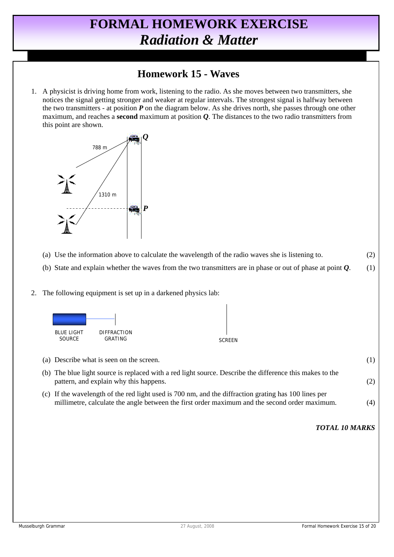#### **Homework 15 - Waves**

 1. A physicist is driving home from work, listening to the radio. As she moves between two transmitters, she notices the signal getting stronger and weaker at regular intervals. The strongest signal is halfway between the two transmitters - at position *P* on the diagram below. As she drives north, she passes through one other maximum, and reaches a **second** maximum at position *Q*. The distances to the two radio transmitters from this point are shown.



- (a) Use the information above to calculate the wavelength of the radio waves she is listening to. (2)
- (b) State and explain whether the waves from the two transmitters are in phase or out of phase at point *Q*. (1)
- 2. The following equipment is set up in a darkened physics lab:



| (a) Describe what is seen on the screen.                                                                                                                                                              | (1) |
|-------------------------------------------------------------------------------------------------------------------------------------------------------------------------------------------------------|-----|
| (b) The blue light source is replaced with a red light source. Describe the difference this makes to the<br>pattern, and explain why this happens.                                                    | (2) |
| (c) If the wavelength of the red light used is 700 nm, and the diffraction grating has 100 lines per<br>millimetre, calculate the angle between the first order maximum and the second order maximum. | (4) |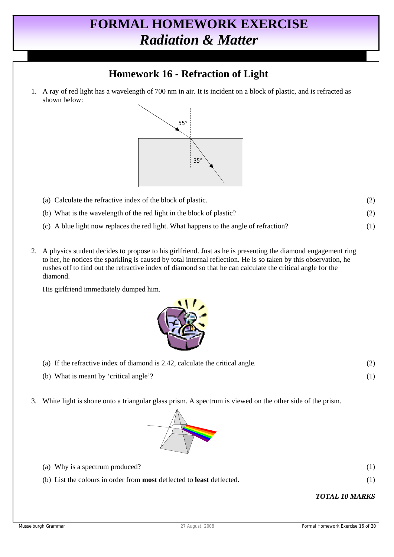### **Homework 16 - Refraction of Light**

 1. A ray of red light has a wavelength of 700 nm in air. It is incident on a block of plastic, and is refracted as shown below:



- (a) Calculate the refractive index of the block of plastic. (2) (b) What is the wavelength of the red light in the block of plastic? (2) (c) A blue light now replaces the red light. What happens to the angle of refraction? (1)
- 2. A physics student decides to propose to his girlfriend. Just as he is presenting the diamond engagement ring to her, he notices the sparkling is caused by total internal reflection. He is so taken by this observation, he rushes off to find out the refractive index of diamond so that he can calculate the critical angle for the diamond.

His girlfriend immediately dumped him.



- (a) If the refractive index of diamond is 2.42, calculate the critical angle. (2)
- (b) What is meant by 'critical angle'? (1)
- 3. White light is shone onto a triangular glass prism. A spectrum is viewed on the other side of the prism.



- (a) Why is a spectrum produced?  $(1)$
- (b) List the colours in order from **most** deflected to **least** deflected. (1)

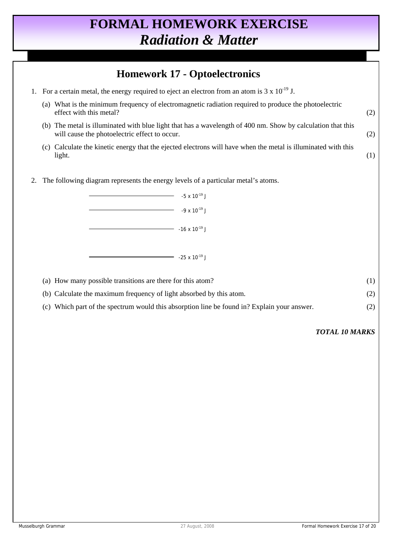#### **Homework 17 - Optoelectronics**

1. For a certain metal, the energy required to eject an electron from an atom is  $3 \times 10^{-19}$  J. (a) What is the minimum frequency of electromagnetic radiation required to produce the photoelectric effect with this metal? (2) (b) The metal is illuminated with blue light that has a wavelength of 400 nm. Show by calculation that this will cause the photoelectric effect to occur. (2) (c) Calculate the kinetic energy that the ejected electrons will have when the metal is illuminated with this  $\text{light.} \tag{1}$  2. The following diagram represents the energy levels of a particular metal's atoms.  $-5 \times 10^{-19}$  J  $-9 \times 10^{-19}$  J  $-$  -16 x 10<sup>-19</sup> J  $-$  -25 x 10<sup>-19</sup> J (a) How many possible transitions are there for this atom? (1) (b) Calculate the maximum frequency of light absorbed by this atom. (2) (c) Which part of the spectrum would this absorption line be found in? Explain your answer. (2)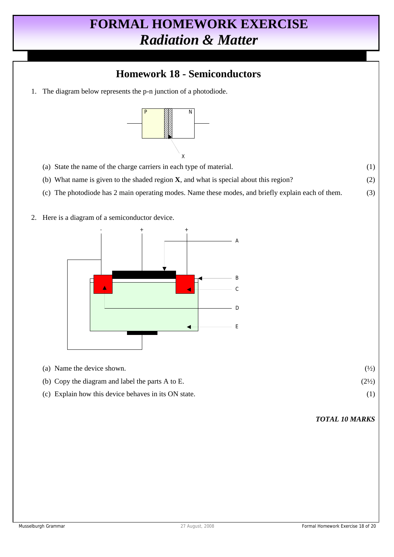### **Homework 18 - Semiconductors**

1. The diagram below represents the p-n junction of a photodiode.



X

- (a) State the name of the charge carriers in each type of material. (1)
- (b) What name is given to the shaded region **X**, and what is special about this region? (2)
- (c) The photodiode has 2 main operating modes. Name these modes, and briefly explain each of them. (3)
- 2. Here is a diagram of a semiconductor device.



(a) Name the device shown.  $(\frac{1}{2})$ (b) Copy the diagram and label the parts A to E.  $(2\frac{1}{2})$ (c) Explain how this device behaves in its ON state. (1)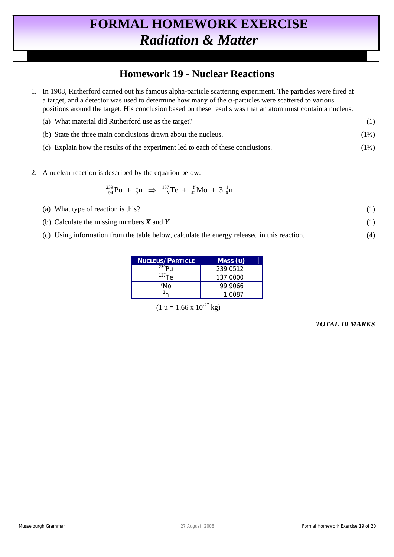#### **Homework 19 - Nuclear Reactions**

- 1. In 1908, Rutherford carried out his famous alpha-particle scattering experiment. The particles were fired at a target, and a detector was used to determine how many of the  $\alpha$ -particles were scattered to various positions around the target. His conclusion based on these results was that an atom must contain a nucleus. (a) What material did Rutherford use as the target? (1)
- (b) State the three main conclusions drawn about the nucleus.  $(1\frac{1}{2})$ 
	- (c) Explain how the results of the experiment led to each of these conclusions.  $(1\frac{1}{2})$
- 2. A nuclear reaction is described by the equation below:

$$
^{239}_{94}Pu + ^1_0n \Rightarrow ^{137}_{x}Te + ^{y}_{42}Mo + 3^1_0n
$$

- (a) What type of reaction is this?  $(1)$
- (b) Calculate the missing numbers  $\boldsymbol{X}$  and  $\boldsymbol{Y}$ . (1)
- (c) Using information from the table below, calculate the energy released in this reaction. (4)

| <b>NUCLEUS/PARTICLE</b>     | MASS (U) |
|-----------------------------|----------|
| $^{239}P_{11}$              | 239.0512 |
| $^{137}$ Te                 | 137.0000 |
| <sup>Y</sup> M <sub>0</sub> | 99.9066  |
|                             | 1.0087   |

 $(1 u = 1.66 x 10^{-27} kg)$